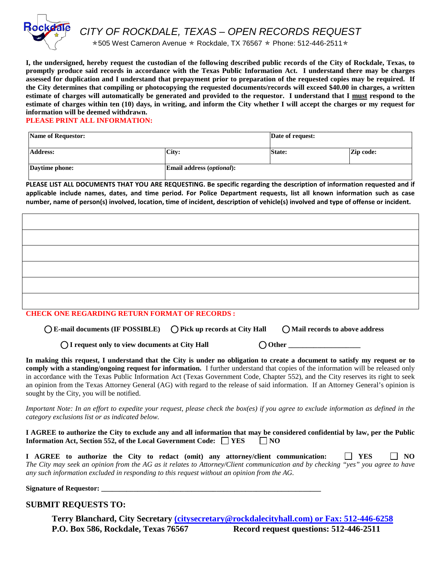

*CITY OF ROCKDALE, TEXAS – OPEN RECORDS REQUEST*

 $*505$  West Cameron Avenue  $*$  Rockdale, TX 76567  $*$  Phone: 512-446-2511 $*$ 

**I, the undersigned, hereby request the custodian of the following described public records of the City of Rockdale, Texas, to promptly produce said records in accordance with the Texas Public Information Act. I understand there may be charges assessed for duplication and I understand that prepayment prior to preparation of the requested copies may be required. If the City determines that compiling or photocopying the requested documents/records will exceed \$40.00 in charges, a written estimate of charges will automatically be generated and provided to the requestor. I understand that I must respond to the estimate of charges within ten (10) days, in writing, and inform the City whether I will accept the charges or my request for information will be deemed withdrawn.** 

**PLEASE PRINT ALL INFORMATION:**

| Name of Requestor: |                                  | Date of request: |           |
|--------------------|----------------------------------|------------------|-----------|
| Address:           | City:                            | <b>State:</b>    | Zip code: |
| Daytime phone:     | <b>Email address (optional):</b> |                  |           |

**PLEASE LIST ALL DOCUMENTS THAT YOU ARE REQUESTING. Be specific regarding the description of information requested and if applicable include names, dates, and time period. For Police Department requests, list all known information such as case number, name of person(s) involved, location, time of incident, description of vehicle(s) involved and type of offense or incident.** 

| $\alpha$ and $\alpha$ is the period ( persons) permittenant properties of person persons $\alpha$ |  |
|---------------------------------------------------------------------------------------------------|--|

**CHECK ONE REGARDING RETURN FORMAT OF RECORDS :**

⃝**E-mail documents (IF POSSIBLE)** ⃝**Pick up records at City Hall** ⃝**Mail records to above address**

◯ I request only to view documents at City Hall ◯ Other

**In making this request, I understand that the City is under no obligation to create a document to satisfy my request or to comply with a standing/ongoing request for information.** I further understand that copies of the information will be released only in accordance with the Texas Public Information Act (Texas Government Code, Chapter 552), and the City reserves its right to seek an opinion from the Texas Attorney General (AG) with regard to the release of said information. If an Attorney General's opinion is sought by the City, you will be notified.

*Important Note: In an effort to expedite your request, please check the box(es) if you agree to exclude information as defined in the category exclusions list or as indicated below.*

**I AGREE to authorize the City to exclude any and all information that may be considered confidential by law, per the Public Information Act, Section 552, of the Local Government Code:**  $\Box$  **YES**  $\Box$  NO

**I AGREE to authorize the City to redact (omit) any attorney/client communication:**  $\Box$  **YES**  $\Box$  **NO** *The City may seek an opinion from the AG as it relates to Attorney/Client communication and by checking "yes" you agree to have any such information excluded in responding to this request without an opinion from the AG.*

**Signature of Requestor:** 

## **SUBMIT REQUESTS TO:**

**Terry Blanchard, City Secretary [\(citysecretary@r](mailto:(citysecretary@)ockdalecityhall.com) or Fax: 512-446-6258 P.O. Box 586, Rockdale, Texas 76567 Record request questions: 512-446-2511**